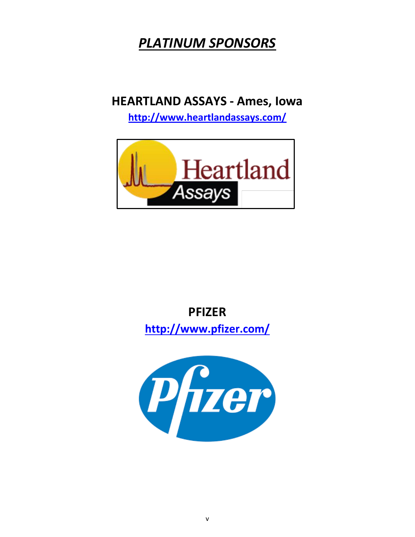### *PLATINUM SPONSORS*

**HEARTLAND ASSAYS - Ames, Iowa**

**<http://www.heartlandassays.com/>**



**PFIZER <http://www.pfizer.com/>**

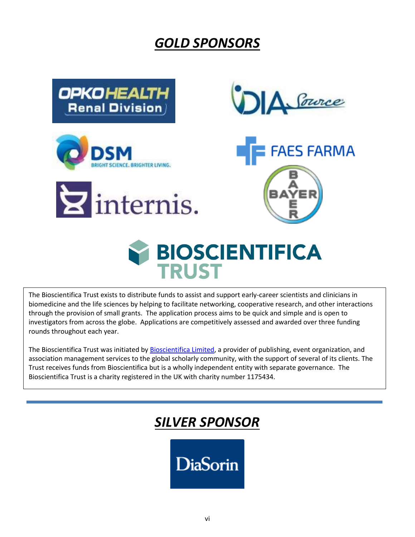## *GOLD SPONSORS*



The Bioscientifica Trust exists to distribute funds to assist and support early-career scientists and clinicians in biomedicine and the life sciences by helping to facilitate networking, cooperative research, and other interactions through the provision of small grants. The application process aims to be quick and simple and is open to investigators from across the globe. Applications are competitively assessed and awarded over three funding rounds throughout each year.

**TRUST** 

The Bioscientifica Trust was initiated by [Bioscientifica Limited,](http://www.bioscientifica.com/) a provider of publishing, event organization, and association management services to the global scholarly community, with the support of several of its clients. The Trust receives funds from Bioscientifica but is a wholly independent entity with separate governance. The Bioscientifica Trust is a charity registered in the UK with charity number 1175434.

# *SILVER SPONSOR*